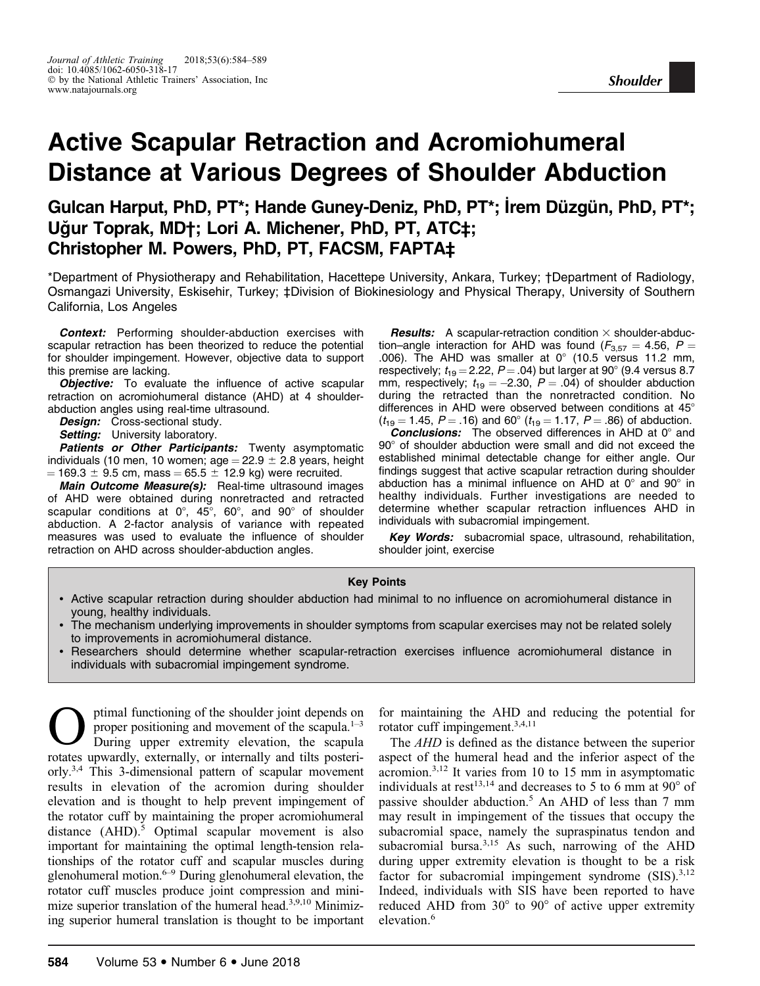# Active Scapular Retraction and Acromiohumeral Distance at Various Degrees of Shoulder Abduction

Gulcan Harput, PhD, PT\*; Hande Guney-Deniz, PhD, PT\*; İrem Düzgün, PhD, PT\*; Uğur Toprak, MD†; Lori A. Michener, PhD, PT, ATC‡; Christopher M. Powers, PhD, PT, FACSM, FAPTA‡

\*Department of Physiotherapy and Rehabilitation, Hacettepe University, Ankara, Turkey; †Department of Radiology, Osmangazi University, Eskisehir, Turkey; ‡Division of Biokinesiology and Physical Therapy, University of Southern California, Los Angeles

**Context:** Performing shoulder-abduction exercises with scapular retraction has been theorized to reduce the potential for shoulder impingement. However, objective data to support this premise are lacking.

**Objective:** To evaluate the influence of active scapular retraction on acromiohumeral distance (AHD) at 4 shoulderabduction angles using real-time ultrasound.

Design: Cross-sectional study.

Setting: University laboratory.

Patients or Other Participants: Twenty asymptomatic individuals (10 men, 10 women; age =  $22.9 \pm 2.8$  years, height  $= 169.3 \pm 9.5$  cm, mass  $= 65.5 \pm 12.9$  kg) were recruited.

Main Outcome Measure(s): Real-time ultrasound images of AHD were obtained during nonretracted and retracted scapular conditions at  $0^\circ$ ,  $45^\circ$ ,  $60^\circ$ , and  $90^\circ$  of shoulder abduction. A 2-factor analysis of variance with repeated measures was used to evaluate the influence of shoulder retraction on AHD across shoulder-abduction angles.

**Results:** A scapular-retraction condition  $\times$  shoulder-abduction–angle interaction for AHD was found ( $F_{3,57} = 4.56$ ,  $P =$ .006). The AHD was smaller at  $0^{\circ}$  (10.5 versus 11.2 mm, respectively;  $t_{19} = 2.22$ ,  $P = .04$ ) but larger at 90° (9.4 versus 8.7 mm, respectively;  $t_{19} = -2.30, P = .04$ ) of shoulder abduction during the retracted than the nonretracted condition. No differences in AHD were observed between conditions at  $45^{\circ}$  $(t_{19} = 1.45, P = .16)$  and 60°  $(t_{19} = 1.17, P = .86)$  of abduction.

**Conclusions:** The observed differences in AHD at  $0^{\circ}$  and 90° of shoulder abduction were small and did not exceed the established minimal detectable change for either angle. Our findings suggest that active scapular retraction during shoulder abduction has a minimal influence on AHD at  $0^{\circ}$  and  $90^{\circ}$  in healthy individuals. Further investigations are needed to determine whether scapular retraction influences AHD in individuals with subacromial impingement.

Key Words: subacromial space, ultrasound, rehabilitation, shoulder joint, exercise

## Key Points

- Active scapular retraction during shoulder abduction had minimal to no influence on acromiohumeral distance in young, healthy individuals.
- The mechanism underlying improvements in shoulder symptoms from scapular exercises may not be related solely to improvements in acromiohumeral distance.
- Researchers should determine whether scapular-retraction exercises influence acromiohumeral distance in individuals with subacromial impingement syndrome.

 $\sum$  ptimal functioning of the shoulder joint depends on<br>proper positioning and movement of the scapula.<sup>1-3</sup><br>puring upper extremity elevation, the scapula proper positioning and movement of the scapula. $1-3$ During upper extremity elevation, the scapula rotates upwardly, externally, or internally and tilts posteriorly.3,4 This 3-dimensional pattern of scapular movement results in elevation of the acromion during shoulder elevation and is thought to help prevent impingement of the rotator cuff by maintaining the proper acromiohumeral distance  $(AHD)$ <sup>5</sup> Optimal scapular movement is also important for maintaining the optimal length-tension relationships of the rotator cuff and scapular muscles during glenohumeral motion. $6-9$  During glenohumeral elevation, the rotator cuff muscles produce joint compression and minimize superior translation of the humeral head.3,9,10 Minimizing superior humeral translation is thought to be important

for maintaining the AHD and reducing the potential for rotator cuff impingement.3,4,11

The AHD is defined as the distance between the superior aspect of the humeral head and the inferior aspect of the acromion.3,12 It varies from 10 to 15 mm in asymptomatic individuals at rest<sup>13,14</sup> and decreases to 5 to 6 mm at  $90^{\circ}$  of passive shoulder abduction.5 An AHD of less than 7 mm may result in impingement of the tissues that occupy the subacromial space, namely the supraspinatus tendon and subacromial bursa.<sup>3,15</sup> As such, narrowing of the AHD during upper extremity elevation is thought to be a risk factor for subacromial impingement syndrome  $(SIS).^{3,12}$ Indeed, individuals with SIS have been reported to have reduced AHD from  $30^{\circ}$  to  $90^{\circ}$  of active upper extremity elevation.<sup>6</sup>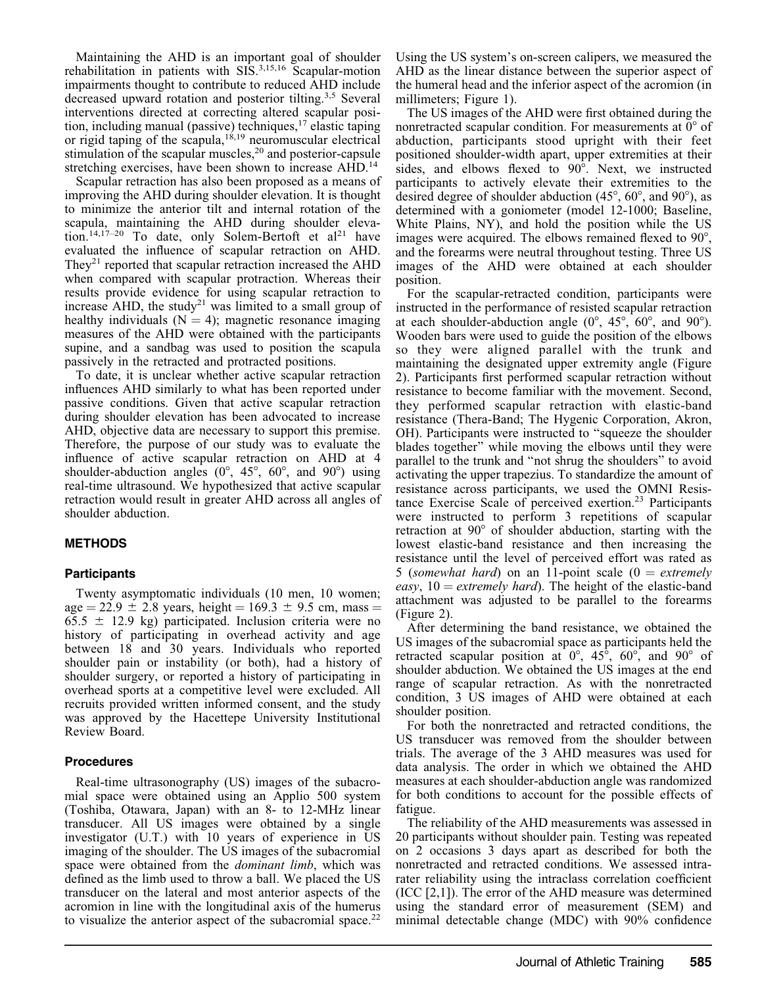Maintaining the AHD is an important goal of shoulder rehabilitation in patients with  $SIS^{3,15,16}$  Scapular-motion impairments thought to contribute to reduced AHD include decreased upward rotation and posterior tilting.<sup>3,5</sup> Several interventions directed at correcting altered scapular position, including manual (passive) techniques,  $17$  elastic taping or rigid taping of the scapula, $1^{6,19}$  neuromuscular electrical stimulation of the scapular muscles, $2<sup>0</sup>$  and posterior-capsule stretching exercises, have been shown to increase AHD.<sup>14</sup>

Scapular retraction has also been proposed as a means of improving the AHD during shoulder elevation. It is thought to minimize the anterior tilt and internal rotation of the scapula, maintaining the AHD during shoulder elevation.<sup>14,17–20</sup> To date, only Solem-Bertoft et  $al^{21}$  have evaluated the influence of scapular retraction on AHD. They<sup>21</sup> reported that scapular retraction increased the AHD when compared with scapular protraction. Whereas their results provide evidence for using scapular retraction to increase AHD, the study<sup>21</sup> was limited to a small group of healthy individuals  $(N = 4)$ ; magnetic resonance imaging measures of the AHD were obtained with the participants supine, and a sandbag was used to position the scapula passively in the retracted and protracted positions.

To date, it is unclear whether active scapular retraction influences AHD similarly to what has been reported under passive conditions. Given that active scapular retraction during shoulder elevation has been advocated to increase AHD, objective data are necessary to support this premise. Therefore, the purpose of our study was to evaluate the influence of active scapular retraction on AHD at 4 shoulder-abduction angles  $(0^{\circ}, 45^{\circ}, 60^{\circ}, \text{ and } 90^{\circ})$  using real-time ultrasound. We hypothesized that active scapular retraction would result in greater AHD across all angles of shoulder abduction.

## **METHODS**

### **Participants**

Twenty asymptomatic individuals (10 men, 10 women; age = 22.9  $\pm$  2.8 years, height = 169.3  $\pm$  9.5 cm, mass =  $65.5 \pm 12.9$  kg) participated. Inclusion criteria were no history of participating in overhead activity and age between 18 and 30 years. Individuals who reported shoulder pain or instability (or both), had a history of shoulder surgery, or reported a history of participating in overhead sports at a competitive level were excluded. All recruits provided written informed consent, and the study was approved by the Hacettepe University Institutional Review Board.

### Procedures

Real-time ultrasonography (US) images of the subacromial space were obtained using an Applio 500 system (Toshiba, Otawara, Japan) with an 8- to 12-MHz linear transducer. All US images were obtained by a single investigator (U.T.) with 10 years of experience in US imaging of the shoulder. The US images of the subacromial space were obtained from the dominant limb, which was defined as the limb used to throw a ball. We placed the US transducer on the lateral and most anterior aspects of the acromion in line with the longitudinal axis of the humerus to visualize the anterior aspect of the subacromial space.<sup>22</sup> Using the US system's on-screen calipers, we measured the AHD as the linear distance between the superior aspect of the humeral head and the inferior aspect of the acromion (in millimeters; Figure 1).

The US images of the AHD were first obtained during the nonretracted scapular condition. For measurements at  $0^{\circ}$  of abduction, participants stood upright with their feet positioned shoulder-width apart, upper extremities at their sides, and elbows flexed to 90°. Next, we instructed participants to actively elevate their extremities to the desired degree of shoulder abduction  $(45^{\circ}, 60^{\circ}, \text{ and } 90^{\circ})$ , as determined with a goniometer (model 12-1000; Baseline, White Plains, NY), and hold the position while the US images were acquired. The elbows remained flexed to 90<sup>o</sup>, and the forearms were neutral throughout testing. Three US images of the AHD were obtained at each shoulder position.

For the scapular-retracted condition, participants were instructed in the performance of resisted scapular retraction at each shoulder-abduction angle  $(0^{\circ}, 45^{\circ}, 60^{\circ},$  and  $90^{\circ})$ . Wooden bars were used to guide the position of the elbows so they were aligned parallel with the trunk and maintaining the designated upper extremity angle (Figure 2). Participants first performed scapular retraction without resistance to become familiar with the movement. Second, they performed scapular retraction with elastic-band resistance (Thera-Band; The Hygenic Corporation, Akron, OH). Participants were instructed to ''squeeze the shoulder blades together'' while moving the elbows until they were parallel to the trunk and ''not shrug the shoulders'' to avoid activating the upper trapezius. To standardize the amount of resistance across participants, we used the OMNI Resistance Exercise Scale of perceived exertion.<sup>23</sup> Participants were instructed to perform 3 repetitions of scapular retraction at  $90^{\circ}$  of shoulder abduction, starting with the lowest elastic-band resistance and then increasing the resistance until the level of perceived effort was rated as 5 (somewhat hard) on an 11-point scale  $(0 = extremely$ easy,  $10 =$  extremely hard). The height of the elastic-band attachment was adjusted to be parallel to the forearms (Figure 2).

After determining the band resistance, we obtained the US images of the subacromial space as participants held the retracted scapular position at  $0^\circ$ ,  $45^\circ$ ,  $60^\circ$ , and  $90^\circ$  of shoulder abduction. We obtained the US images at the end range of scapular retraction. As with the nonretracted condition, 3 US images of AHD were obtained at each shoulder position.

For both the nonretracted and retracted conditions, the US transducer was removed from the shoulder between trials. The average of the 3 AHD measures was used for data analysis. The order in which we obtained the AHD measures at each shoulder-abduction angle was randomized for both conditions to account for the possible effects of fatigue.

The reliability of the AHD measurements was assessed in 20 participants without shoulder pain. Testing was repeated on 2 occasions 3 days apart as described for both the nonretracted and retracted conditions. We assessed intrarater reliability using the intraclass correlation coefficient (ICC [2,1]). The error of the AHD measure was determined using the standard error of measurement (SEM) and minimal detectable change (MDC) with 90% confidence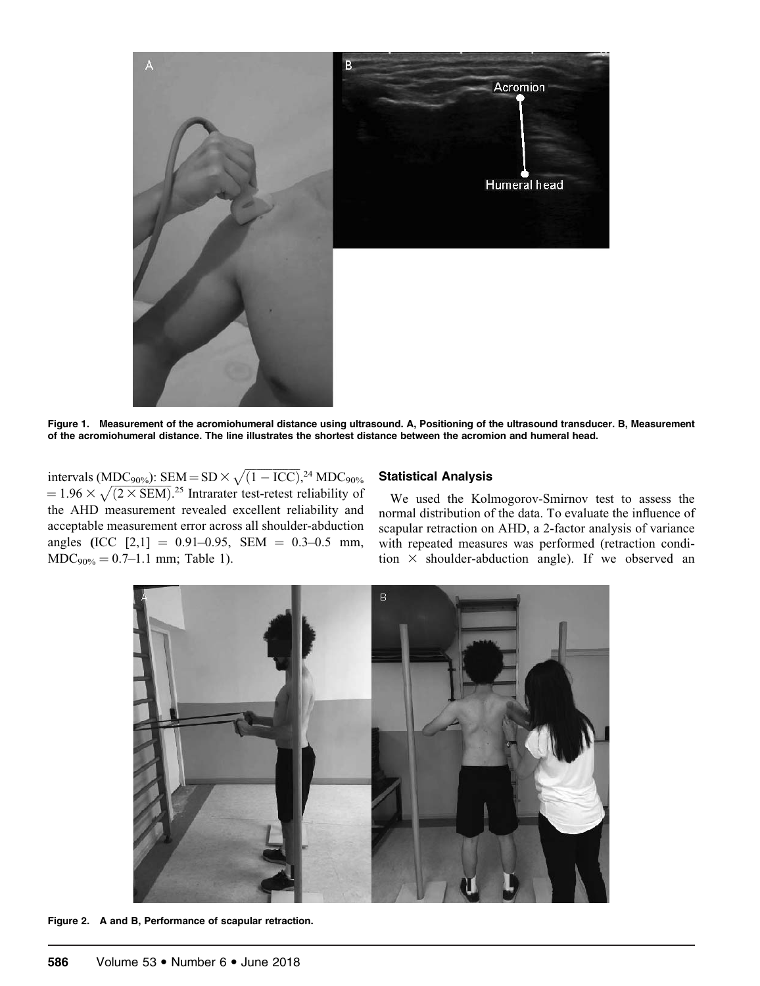

Figure 1. Measurement of the acromiohumeral distance using ultrasound. A, Positioning of the ultrasound transducer. B, Measurement of the acromiohumeral distance. The line illustrates the shortest distance between the acromion and humeral head.

intervals (MDC<sub>90%</sub>): SEM = SD ×  $\sqrt{(1 - \text{ICC})}$ ,<sup>24</sup> MDC<sub>90%</sub><br>= 1.96 ×  $\sqrt{(2 \times \text{SEM})}$ .<sup>25</sup> Intrarater test-retest reliability of the AHD measurement revealed excellent reliability and acceptable measurement error across all shoulder-abduction angles (ICC  $[2,1] = 0.91-0.95$ , SEM = 0.3-0.5 mm,  $MDC_{90\%} = 0.7{\text -}1.1 \text{ mm}$ ; Table 1).

## Statistical Analysis

We used the Kolmogorov-Smirnov test to assess the normal distribution of the data. To evaluate the influence of scapular retraction on AHD, a 2-factor analysis of variance with repeated measures was performed (retraction condition  $\times$  shoulder-abduction angle). If we observed an



Figure 2. A and B, Performance of scapular retraction.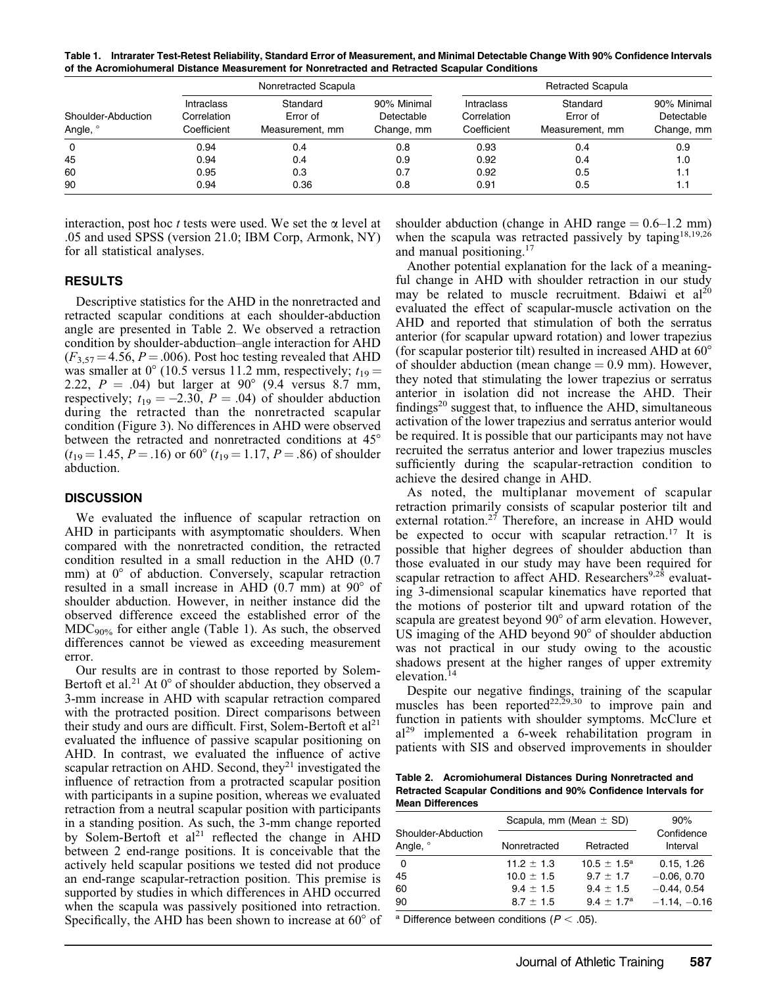Table 1. Intrarater Test-Retest Reliability, Standard Error of Measurement, and Minimal Detectable Change With 90% Confidence Intervals of the Acromiohumeral Distance Measurement for Nonretracted and Retracted Scapular Conditions

| Shoulder-Abduction<br>Angle, ° | Nonretracted Scapula                            |                                         |                                         | <b>Retracted Scapula</b>                        |                                         |                                         |
|--------------------------------|-------------------------------------------------|-----------------------------------------|-----------------------------------------|-------------------------------------------------|-----------------------------------------|-----------------------------------------|
|                                | <b>Intraclass</b><br>Correlation<br>Coefficient | Standard<br>Error of<br>Measurement, mm | 90% Minimal<br>Detectable<br>Change, mm | <b>Intraclass</b><br>Correlation<br>Coefficient | Standard<br>Error of<br>Measurement, mm | 90% Minimal<br>Detectable<br>Change, mm |
| $\Omega$                       | 0.94                                            | 0.4                                     | 0.8                                     | 0.93                                            | 0.4                                     | 0.9                                     |
| 45                             | 0.94                                            | 0.4                                     | 0.9                                     | 0.92                                            | 0.4                                     | 1.0                                     |
| 60                             | 0.95                                            | 0.3                                     | 0.7                                     | 0.92                                            | 0.5                                     | 1.1                                     |
| 90                             | 0.94                                            | 0.36                                    | 0.8                                     | 0.91                                            | 0.5                                     | 1.1                                     |

interaction, post hoc  $t$  tests were used. We set the  $\alpha$  level at .05 and used SPSS (version 21.0; IBM Corp, Armonk, NY) for all statistical analyses.

## **RESULTS**

Descriptive statistics for the AHD in the nonretracted and retracted scapular conditions at each shoulder-abduction angle are presented in Table 2. We observed a retraction condition by shoulder-abduction–angle interaction for AHD  $(F_{3,57} = 4.56, P = .006)$ . Post hoc testing revealed that AHD was smaller at  $0^{\circ}$  (10.5 versus 11.2 mm, respectively;  $t_{19} =$ 2.22,  $P = .04$ ) but larger at 90° (9.4 versus 8.7 mm, respectively;  $t_{19} = -2.30, P = .04$ ) of shoulder abduction during the retracted than the nonretracted scapular condition (Figure 3). No differences in AHD were observed between the retracted and nonretracted conditions at  $45^{\circ}$  $(t_{19} = 1.45, P = .16)$  or  $60^{\circ}$   $(t_{19} = 1.17, P = .86)$  of shoulder abduction.

### **DISCUSSION**

We evaluated the influence of scapular retraction on AHD in participants with asymptomatic shoulders. When compared with the nonretracted condition, the retracted condition resulted in a small reduction in the AHD (0.7 mm) at  $0^{\circ}$  of abduction. Conversely, scapular retraction resulted in a small increase in AHD  $(0.7 \text{ mm})$  at  $90^{\circ}$  of shoulder abduction. However, in neither instance did the observed difference exceed the established error of the  $MDC_{90\%}$  for either angle (Table 1). As such, the observed differences cannot be viewed as exceeding measurement error.

Our results are in contrast to those reported by Solem-Bertoft et al.<sup>21</sup> At  $0^{\circ}$  of shoulder abduction, they observed a 3-mm increase in AHD with scapular retraction compared with the protracted position. Direct comparisons between their study and ours are difficult. First, Solem-Bertoft et  $al<sup>21</sup>$ evaluated the influence of passive scapular positioning on AHD. In contrast, we evaluated the influence of active scapular retraction on AHD. Second, they<sup>21</sup> investigated the influence of retraction from a protracted scapular position with participants in a supine position, whereas we evaluated retraction from a neutral scapular position with participants in a standing position. As such, the 3-mm change reported by Solem-Bertoft et  $al^{21}$  reflected the change in AHD between 2 end-range positions. It is conceivable that the actively held scapular positions we tested did not produce an end-range scapular-retraction position. This premise is supported by studies in which differences in AHD occurred when the scapula was passively positioned into retraction. Specifically, the AHD has been shown to increase at  $60^{\circ}$  of shoulder abduction (change in AHD range  $= 0.6$ –1.2 mm) when the scapula was retracted passively by taping<sup>18,19,26</sup> and manual positioning.17

Another potential explanation for the lack of a meaningful change in AHD with shoulder retraction in our study may be related to muscle recruitment. Bdaiwi et al<sup>20</sup> evaluated the effect of scapular-muscle activation on the AHD and reported that stimulation of both the serratus anterior (for scapular upward rotation) and lower trapezius (for scapular posterior tilt) resulted in increased AHD at  $60^{\circ}$ of shoulder abduction (mean change  $= 0.9$  mm). However, they noted that stimulating the lower trapezius or serratus anterior in isolation did not increase the AHD. Their findings $20$  suggest that, to influence the AHD, simultaneous activation of the lower trapezius and serratus anterior would be required. It is possible that our participants may not have recruited the serratus anterior and lower trapezius muscles sufficiently during the scapular-retraction condition to achieve the desired change in AHD.

As noted, the multiplanar movement of scapular retraction primarily consists of scapular posterior tilt and external rotation.<sup>27</sup> Therefore, an increase in AHD would be expected to occur with scapular retraction.<sup>17</sup> It is possible that higher degrees of shoulder abduction than those evaluated in our study may have been required for scapular retraction to affect AHD. Researchers $9.2\overline{8}$  evaluating 3-dimensional scapular kinematics have reported that the motions of posterior tilt and upward rotation of the scapula are greatest beyond  $90^{\circ}$  of arm elevation. However, US imaging of the AHD beyond  $90^{\circ}$  of shoulder abduction was not practical in our study owing to the acoustic shadows present at the higher ranges of upper extremity elevation.14

Despite our negative findings, training of the scapular muscles has been reported<sup>22,29,30</sup> to improve pain and function in patients with shoulder symptoms. McClure et al<sup>29</sup> implemented a 6-week rehabilitation program in patients with SIS and observed improvements in shoulder

Table 2. Acromiohumeral Distances During Nonretracted and Retracted Scapular Conditions and 90% Confidence Intervals for Mean Differences

|                                | Scapula, mm (Mean $\pm$ SD) | 90%                    |                        |  |
|--------------------------------|-----------------------------|------------------------|------------------------|--|
| Shoulder-Abduction<br>Angle, ° | Nonretracted                | Retracted              | Confidence<br>Interval |  |
| - 0                            | $11.2 \pm 1.3$              | $10.5 \pm 1.5^{\circ}$ | 0.15, 1.26             |  |
| 45                             | $10.0 \pm 1.5$              | $9.7 \pm 1.7$          | $-0.06, 0.70$          |  |
| 60                             | $9.4 \pm 1.5$               | $9.4 \pm 1.5$          | $-0.44.0.54$           |  |
| 90                             | $8.7 \pm 1.5$               | $9.4 \pm 1.7^{\rm a}$  | $-1.14, -0.16$         |  |
|                                |                             |                        |                        |  |

<sup>a</sup> Difference between conditions ( $P < .05$ ).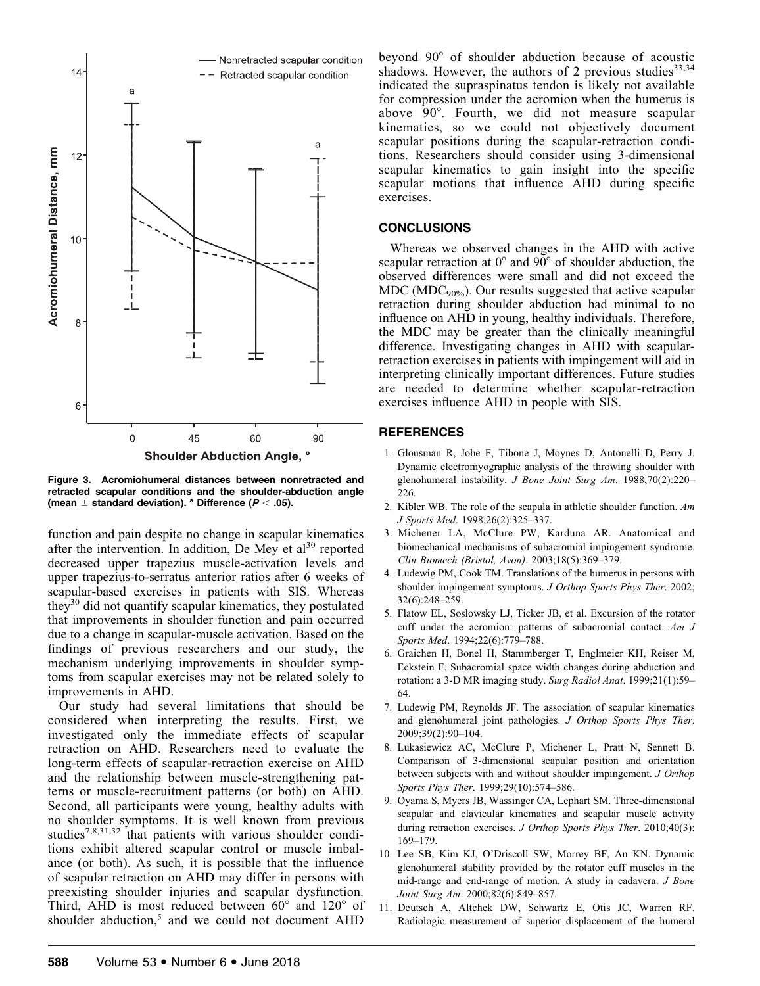

Figure 3. Acromiohumeral distances between nonretracted and retracted scapular conditions and the shoulder-abduction angle (mean  $\pm$  standard deviation). <sup>a</sup> Difference ( $P < .05$ ).

function and pain despite no change in scapular kinematics after the intervention. In addition, De Mey et  $al<sup>30</sup>$  reported decreased upper trapezius muscle-activation levels and upper trapezius-to-serratus anterior ratios after 6 weeks of scapular-based exercises in patients with SIS. Whereas they30 did not quantify scapular kinematics, they postulated that improvements in shoulder function and pain occurred due to a change in scapular-muscle activation. Based on the findings of previous researchers and our study, the mechanism underlying improvements in shoulder symptoms from scapular exercises may not be related solely to improvements in AHD.

Our study had several limitations that should be considered when interpreting the results. First, we investigated only the immediate effects of scapular retraction on AHD. Researchers need to evaluate the long-term effects of scapular-retraction exercise on AHD and the relationship between muscle-strengthening patterns or muscle-recruitment patterns (or both) on AHD. Second, all participants were young, healthy adults with no shoulder symptoms. It is well known from previous studies7,8,31,32 that patients with various shoulder conditions exhibit altered scapular control or muscle imbalance (or both). As such, it is possible that the influence of scapular retraction on AHD may differ in persons with preexisting shoulder injuries and scapular dysfunction. Third, AHD is most reduced between  $60^{\circ}$  and  $120^{\circ}$  of shoulder abduction, $5$  and we could not document AHD

beyond 90° of shoulder abduction because of acoustic shadows. However, the authors of 2 previous studies  $33,34$ indicated the supraspinatus tendon is likely not available for compression under the acromion when the humerus is above 90°. Fourth, we did not measure scapular kinematics, so we could not objectively document scapular positions during the scapular-retraction conditions. Researchers should consider using 3-dimensional scapular kinematics to gain insight into the specific scapular motions that influence AHD during specific exercises.

## **CONCLUSIONS**

Whereas we observed changes in the AHD with active scapular retraction at  $0^{\circ}$  and  $90^{\circ}$  of shoulder abduction, the observed differences were small and did not exceed the  $MDC (MDC<sub>90%</sub>)$ . Our results suggested that active scapular retraction during shoulder abduction had minimal to no influence on AHD in young, healthy individuals. Therefore, the MDC may be greater than the clinically meaningful difference. Investigating changes in AHD with scapularretraction exercises in patients with impingement will aid in interpreting clinically important differences. Future studies are needed to determine whether scapular-retraction exercises influence AHD in people with SIS.

## REFERENCES

- 1. Glousman R, Jobe F, Tibone J, Moynes D, Antonelli D, Perry J. Dynamic electromyographic analysis of the throwing shoulder with glenohumeral instability. J Bone Joint Surg Am. 1988;70(2):220– 226.
- 2. Kibler WB. The role of the scapula in athletic shoulder function. Am J Sports Med. 1998;26(2):325–337.
- 3. Michener LA, McClure PW, Karduna AR. Anatomical and biomechanical mechanisms of subacromial impingement syndrome. Clin Biomech (Bristol, Avon). 2003;18(5):369–379.
- 4. Ludewig PM, Cook TM. Translations of the humerus in persons with shoulder impingement symptoms. J Orthop Sports Phys Ther. 2002; 32(6):248–259.
- 5. Flatow EL, Soslowsky LJ, Ticker JB, et al. Excursion of the rotator cuff under the acromion: patterns of subacromial contact.  $Am\,J$ Sports Med. 1994;22(6):779-788.
- 6. Graichen H, Bonel H, Stammberger T, Englmeier KH, Reiser M, Eckstein F. Subacromial space width changes during abduction and rotation: a 3-D MR imaging study. Surg Radiol Anat. 1999;21(1):59-64.
- 7. Ludewig PM, Reynolds JF. The association of scapular kinematics and glenohumeral joint pathologies. J Orthop Sports Phys Ther. 2009;39(2):90–104.
- 8. Lukasiewicz AC, McClure P, Michener L, Pratt N, Sennett B. Comparison of 3-dimensional scapular position and orientation between subjects with and without shoulder impingement. J Orthop Sports Phys Ther. 1999;29(10):574-586.
- 9. Oyama S, Myers JB, Wassinger CA, Lephart SM. Three-dimensional scapular and clavicular kinematics and scapular muscle activity during retraction exercises. J Orthop Sports Phys Ther. 2010;40(3): 169–179.
- 10. Lee SB, Kim KJ, O'Driscoll SW, Morrey BF, An KN. Dynamic glenohumeral stability provided by the rotator cuff muscles in the mid-range and end-range of motion. A study in cadavera. J Bone Joint Surg Am. 2000;82(6):849–857.
- 11. Deutsch A, Altchek DW, Schwartz E, Otis JC, Warren RF. Radiologic measurement of superior displacement of the humeral